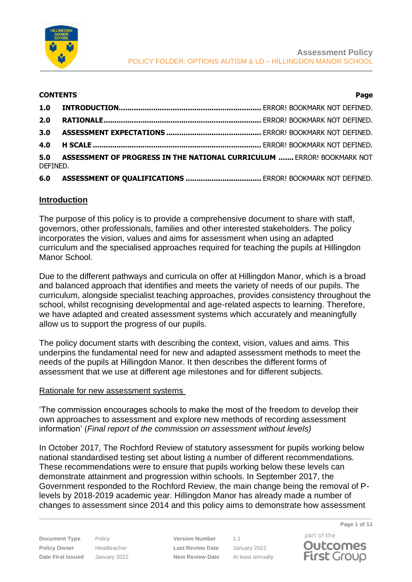

#### **CONTENTS Page**

| 2.0      |                                                                            |  |  |
|----------|----------------------------------------------------------------------------|--|--|
|          |                                                                            |  |  |
|          |                                                                            |  |  |
| DEFINED. | 5.0 ASSESSMENT OF PROGRESS IN THE NATIONAL CURRICULUM  ERROR! BOOKMARK NOT |  |  |

## **6.0 ASSESSMENT OF QUALIFICATIONS ...................................** ERROR! BOOKMARK NOT DEFINED.

## **Introduction**

The purpose of this policy is to provide a comprehensive document to share with staff, governors, other professionals, families and other interested stakeholders. The policy incorporates the vision, values and aims for assessment when using an adapted curriculum and the specialised approaches required for teaching the pupils at Hillingdon Manor School.

Due to the different pathways and curricula on offer at Hillingdon Manor, which is a broad and balanced approach that identifies and meets the variety of needs of our pupils. The curriculum, alongside specialist teaching approaches, provides consistency throughout the school, whilst recognising developmental and age-related aspects to learning. Therefore, we have adapted and created assessment systems which accurately and meaningfully allow us to support the progress of our pupils.

The policy document starts with describing the context, vision, values and aims. This underpins the fundamental need for new and adapted assessment methods to meet the needs of the pupils at Hillingdon Manor. It then describes the different forms of assessment that we use at different age milestones and for different subjects.

#### Rationale for new assessment systems

'The commission encourages schools to make the most of the freedom to develop their own approaches to assessment and explore new methods of recording assessment information' (*Final report of the commission on assessment without levels)*

In October 2017, The Rochford Review of statutory assessment for pupils working below national standardised testing set about listing a number of different recommendations. These recommendations were to ensure that pupils working below these levels can demonstrate attainment and progression within schools. In September 2017, the Government responded to the Rochford Review, the main change being the removal of Plevels by 2018-2019 academic year. Hillingdon Manor has already made a number of changes to assessment since 2014 and this policy aims to demonstrate how assessment

**Document Type** Policy **Version Number** 1.1 **Policy Owner** Headteacher **Last Review Date** January 2022 **Date First Issued** January 2022 **Next Review Date** At least annually

part of the **Outcomes First Group** 

**Page 1 of 11**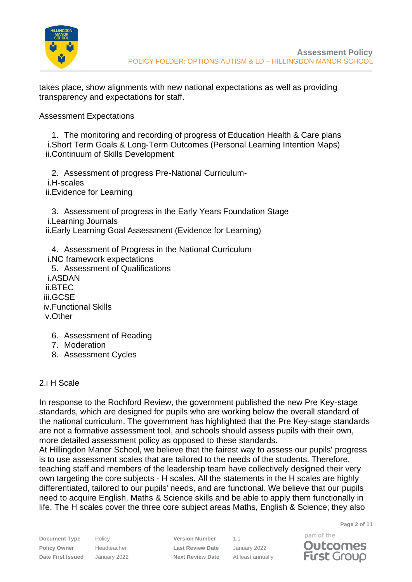

takes place, show alignments with new national expectations as well as providing transparency and expectations for staff.

Assessment Expectations

1. The monitoring and recording of progress of Education Health & Care plans i.Short Term Goals & Long-Term Outcomes (Personal Learning Intention Maps) ii.Continuum of Skills Development

2. Assessment of progress Pre-National Curriculumi.H-scales ii.Evidence for Learning

3. Assessment of progress in the Early Years Foundation Stage i.Learning Journals ii.Early Learning Goal Assessment (Evidence for Learning)

4. Assessment of Progress in the National Curriculum i.NC framework expectations 5. Assessment of Qualifications i.ASDAN ii.BTEC iii.GCSE iv.Functional Skills v.Other

- 6. Assessment of Reading
- 7. Moderation
- 8. Assessment Cycles

## 2.i H Scale

In response to the Rochford Review, the government published the new Pre Key-stage standards, which are designed for pupils who are working below the overall standard of the national curriculum. The government has highlighted that the Pre Key-stage standards are not a formative assessment tool, and schools should assess pupils with their own, more detailed assessment policy as opposed to these standards.

At Hillingdon Manor School, we believe that the fairest way to assess our pupils' progress is to use assessment scales that are tailored to the needs of the students. Therefore, teaching staff and members of the leadership team have collectively designed their very own targeting the core subjects - H scales. All the statements in the H scales are highly differentiated, tailored to our pupils' needs, and are functional. We believe that our pupils need to acquire English, Maths & Science skills and be able to apply them functionally in life. The H scales cover the three core subject areas Maths, English & Science; they also

**Document Type** Policy **Version Number** 1.1 **Policy Owner** Headteacher **Last Review Date** January 2022 **Date First Issued** January 2022 **Next Review Date** At least annually

part of the **Outcomes First Group** 

**Page 2 of 11**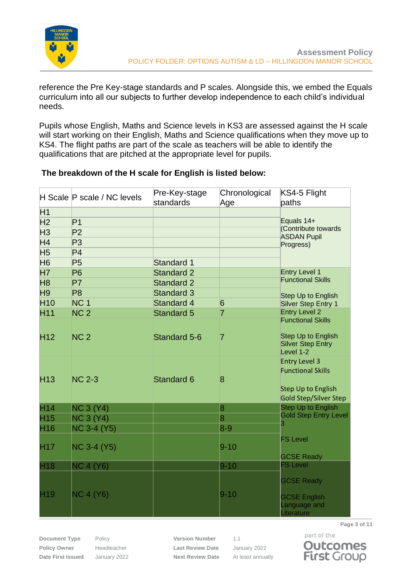

reference the Pre Key-stage standards and P scales. Alongside this, we embed the Equals curriculum into all our subjects to further develop independence to each child's individual needs.

Pupils whose English, Maths and Science levels in KS3 are assessed against the H scale will start working on their English, Maths and Science qualifications when they move up to KS4. The flight paths are part of the scale as teachers will be able to identify the qualifications that are pitched at the appropriate level for pupils.

|                 | H Scale P scale / NC levels | Pre-Key-stage<br>standards | Chronological<br>Age    | KS4-5 Flight<br>paths                                     |
|-----------------|-----------------------------|----------------------------|-------------------------|-----------------------------------------------------------|
| H1              |                             |                            |                         |                                                           |
| H <sub>2</sub>  | P <sub>1</sub>              |                            |                         | Equals 14+                                                |
| H <sub>3</sub>  | P <sub>2</sub>              |                            |                         | (Contribute towards<br><b>ASDAN Pupil</b>                 |
| H <sub>4</sub>  | P <sub>3</sub>              |                            |                         | Progress)                                                 |
| H <sub>5</sub>  | P <sub>4</sub>              |                            |                         |                                                           |
| H <sub>6</sub>  | P <sub>5</sub>              | Standard 1                 |                         |                                                           |
| <b>H7</b>       | P <sub>6</sub>              | <b>Standard 2</b>          |                         | <b>Entry Level 1</b>                                      |
| H <sub>8</sub>  | <b>P7</b>                   | <b>Standard 2</b>          |                         | <b>Functional Skills</b>                                  |
| H <sub>9</sub>  | P <sub>8</sub>              | <b>Standard 3</b>          |                         | <b>Step Up to English</b>                                 |
| H <sub>10</sub> | NC <sub>1</sub>             | <b>Standard 4</b>          | $6\overline{6}$         | <b>Silver Step Entry 1</b>                                |
| H <sub>11</sub> | NC <sub>2</sub>             | <b>Standard 5</b>          | $\overline{7}$          | <b>Entry Level 2</b>                                      |
|                 |                             |                            |                         | <b>Functional Skills</b>                                  |
| H <sub>12</sub> | NC <sub>2</sub>             | Standard 5-6               | 7                       | Step Up to English                                        |
|                 |                             |                            |                         | <b>Silver Step Entry</b><br>Level 1-2                     |
|                 |                             |                            |                         | <b>Entry Level 3</b>                                      |
|                 |                             |                            |                         | <b>Functional Skills</b>                                  |
| H <sub>13</sub> | <b>NC 2-3</b>               | Standard 6                 | $\overline{8}$          |                                                           |
|                 |                             |                            |                         | <b>Step Up to English</b><br><b>Gold Step/Silver Step</b> |
| H <sub>14</sub> | <b>NC 3 (Y4)</b>            |                            | $\overline{\mathbf{8}}$ | <b>Step Up to English</b>                                 |
| H <sub>15</sub> | NC3(Y4)                     |                            | $\overline{8}$          | <b>Gold Step Entry Level</b>                              |
| H <sub>16</sub> | <b>NC 3-4 (Y5)</b>          |                            | $8-9$                   | 3                                                         |
|                 |                             |                            |                         | <b>FS Level</b>                                           |
| H <sub>17</sub> | <b>NC 3-4 (Y5)</b>          |                            | $9 - 10$                |                                                           |
|                 |                             |                            |                         | <b>GCSE Ready</b>                                         |
| H <sub>18</sub> | NC 4 (Y6)                   |                            | $9 - 10$                | <b>FS Level</b>                                           |
|                 |                             |                            |                         | <b>GCSE Ready</b>                                         |
|                 |                             |                            |                         |                                                           |
| H <sub>19</sub> | <b>NC 4 (Y6)</b>            |                            | $9 - 10$                | <b>GCSE English</b>                                       |
|                 |                             |                            |                         | Language and                                              |
|                 |                             |                            |                         | Literature                                                |

## **The breakdown of the H scale for English is listed below:**

**Document Type** Policy **Version Number** 1.1 **Policy Owner** Headteacher **Last Review Date** January 2022 **Date First Issued** January 2022 **Next Review Date** At least annually



**Outcomes First Group** 

part of the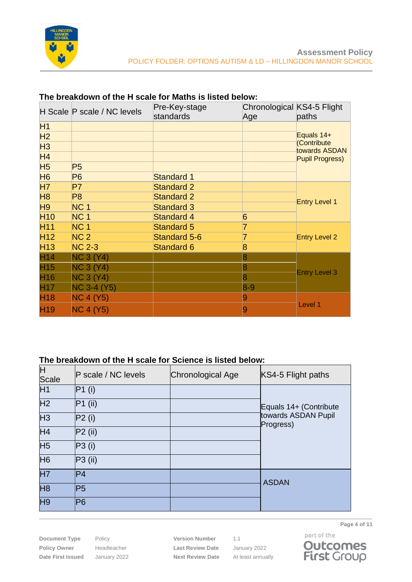

|                      | H Scale P scale / NC levels | Pre-Key-stage<br>standards | Chronological KS4-5 Flight<br>Age | paths                        |  |
|----------------------|-----------------------------|----------------------------|-----------------------------------|------------------------------|--|
| H1                   |                             |                            |                                   |                              |  |
| H <sub>2</sub>       |                             |                            |                                   | Equals 14+                   |  |
| H <sub>3</sub>       |                             |                            |                                   | (Contribute<br>towards ASDAN |  |
| H <sub>4</sub>       |                             |                            |                                   | <b>Pupil Progress)</b>       |  |
| <b>H<sub>5</sub></b> | P <sub>5</sub>              |                            |                                   |                              |  |
| <b>H<sub>6</sub></b> | <b>P6</b>                   | <b>Standard 1</b>          |                                   |                              |  |
| <b>H7</b>            | P7                          | <b>Standard 2</b>          |                                   |                              |  |
| H <sub>8</sub>       | P <sub>8</sub>              | <b>Standard 2</b>          |                                   | <b>Entry Level 1</b>         |  |
| H <sub>9</sub>       | NC <sub>1</sub>             | <b>Standard 3</b>          |                                   |                              |  |
| <b>H10</b>           | NC <sub>1</sub>             | <b>Standard 4</b>          | 6                                 |                              |  |
| H <sub>11</sub>      | NC <sub>1</sub>             | <b>Standard 5</b>          | 7                                 |                              |  |
| H <sub>12</sub>      | NC <sub>2</sub>             | <b>Standard 5-6</b>        |                                   | <b>Entry Level 2</b>         |  |
| H <sub>13</sub>      | <b>NC 2-3</b>               | <b>Standard 6</b>          | 8                                 |                              |  |
| H <sub>14</sub>      | <b>NC 3 (Y4)</b>            |                            | 8                                 |                              |  |
| H <sub>15</sub>      | <b>NC 3 (Y4)</b>            |                            | 8                                 |                              |  |
| H <sub>16</sub>      | <b>NC 3 (Y4)</b>            |                            | 8                                 | <b>Entry Level 3</b>         |  |
| H <sub>17</sub>      | <b>NC 3-4 (Y5)</b>          |                            | $8 - 9$                           |                              |  |
| H <sub>18</sub>      | <b>NC 4 (Y5)</b>            |                            | 9                                 |                              |  |
| H <sub>19</sub>      | <b>NC 4 (Y5)</b>            |                            |                                   | Level 1                      |  |

#### **The breakdown of the H scale for Maths is listed below:**

## **The breakdown of the H scale for Science is listed below:**

| Η<br><b>Scale</b> | <b>P</b> scale / NC levels | Chronological Age | KS4-5 Flight paths               |
|-------------------|----------------------------|-------------------|----------------------------------|
| H1                | P1(i)                      |                   |                                  |
| H <sub>2</sub>    | $P1$ (ii)                  |                   | Equals 14+ (Contribute           |
| H <sub>3</sub>    | P2(i)                      |                   | towards ASDAN Pupil<br>Progress) |
| H <sub>4</sub>    | $P2$ (ii)                  |                   |                                  |
| H <sub>5</sub>    | P3(i)                      |                   |                                  |
| H <sub>6</sub>    | $P3$ (ii)                  |                   |                                  |
| <b>H7</b>         | P <sub>4</sub>             |                   |                                  |
| H <sub>8</sub>    | P5                         |                   | <b>ASDAN</b>                     |
| H <sub>9</sub>    | P6                         |                   |                                  |

**Document Type** Policy **Version Number** 1.1 **Policy Owner** Headteacher **Last Review Date** January 2022 **Date First Issued** January 2022 **Next Review Date** At least annually



**Page 4 of 11**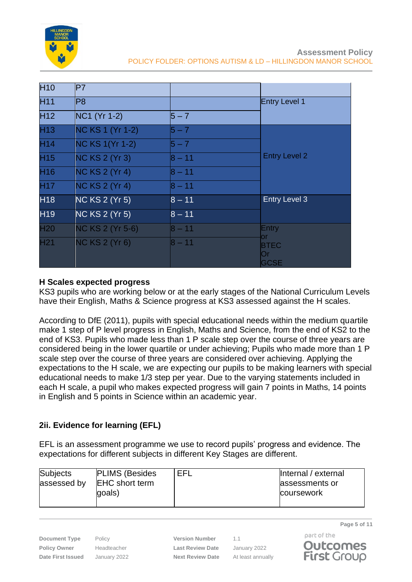

| H <sub>10</sub> | P7                      |          |                      |
|-----------------|-------------------------|----------|----------------------|
| H <sub>11</sub> | lP8                     |          | <b>Entry Level 1</b> |
| H <sub>12</sub> | NC1 (Yr 1-2)            | $5 - 7$  |                      |
| H <sub>13</sub> | NC KS 1 (Yr 1-2)        | $5 - 7$  |                      |
| H <sub>14</sub> | <b>NC KS 1(Yr 1-2)</b>  | $5 - 7$  |                      |
| H <sub>15</sub> | <b>NC KS 2 (Yr 3)</b>   | $8 - 11$ | <b>Entry Level 2</b> |
| H <sub>16</sub> | <b>NC KS 2 (Yr 4)</b>   | $8 - 11$ |                      |
| H <sub>17</sub> | <b>NC KS 2 (Yr 4)</b>   | $8 - 11$ |                      |
| H <sub>18</sub> | <b>NC KS 2 (Yr 5)</b>   | $8 - 11$ | <b>Entry Level 3</b> |
| H <sub>19</sub> | <b>NC KS 2 (Yr 5)</b>   | $8 - 11$ |                      |
| <b>H20</b>      | <b>NC KS 2 (Yr 5-6)</b> | $8 - 11$ | Entry                |
| H <sub>21</sub> | <b>NC KS 2 (Yr 6)</b>   | $8 - 11$ | or<br><b>BTEC</b>    |
|                 |                         |          | Or<br><b>GCSE</b>    |

#### **H Scales expected progress**

KS3 pupils who are working below or at the early stages of the National Curriculum Levels have their English, Maths & Science progress at KS3 assessed against the H scales.

According to DfE (2011), pupils with special educational needs within the medium quartile make 1 step of P level progress in English, Maths and Science, from the end of KS2 to the end of KS3. Pupils who made less than 1 P scale step over the course of three years are considered being in the lower quartile or under achieving; Pupils who made more than 1 P scale step over the course of three years are considered over achieving. Applying the expectations to the H scale, we are expecting our pupils to be making learners with special educational needs to make 1/3 step per year. Due to the varying statements included in each H scale, a pupil who makes expected progress will gain 7 points in Maths, 14 points in English and 5 points in Science within an academic year.

# **2ii. Evidence for learning (EFL)**

EFL is an assessment programme we use to record pupils' progress and evidence. The expectations for different subjects in different Key Stages are different.

| <b>Subjects</b><br>assessed by | <b>PLIMS (Besides</b><br><b>EHC</b> short term<br>goals) | EFL | Internal / external<br>assessments or<br>coursework |
|--------------------------------|----------------------------------------------------------|-----|-----------------------------------------------------|
|--------------------------------|----------------------------------------------------------|-----|-----------------------------------------------------|

**Policy Owner** Headteacher **Last Review Date** January 2022 **Date First Issued** January 2022 **Next Review Date** At least annually

**Document Type** Policy **Version Number** 1.1

**Page 5 of 11**



part of the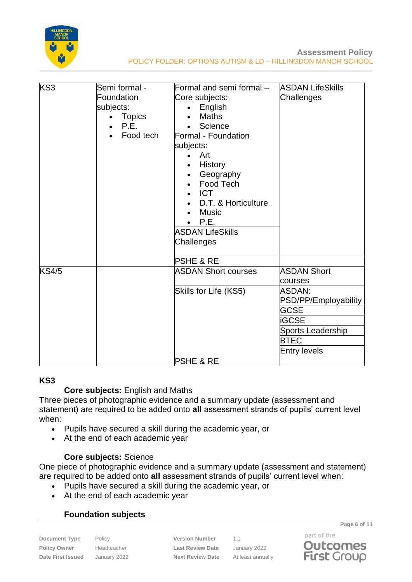

| KS <sub>3</sub> | Semi formal -<br>Foundation<br>subjects:<br><b>Topics</b><br>$\bullet$<br>P.E.<br>Food tech | Formal and semi formal -<br>Core subjects:<br>English<br><b>Maths</b><br>Science<br>Formal - Foundation<br>subjects:<br>Art<br>$\bullet$<br>History<br>Geography<br>Food Tech<br><b>ICT</b><br>D.T. & Horticulture<br><b>Music</b><br>P.E.<br>$\bullet$<br><b>ASDAN LifeSkills</b><br>Challenges | <b>ASDAN LifeSkills</b><br>Challenges |
|-----------------|---------------------------------------------------------------------------------------------|--------------------------------------------------------------------------------------------------------------------------------------------------------------------------------------------------------------------------------------------------------------------------------------------------|---------------------------------------|
|                 |                                                                                             | <b>PSHE &amp; RE</b>                                                                                                                                                                                                                                                                             |                                       |
| <b>KS4/5</b>    |                                                                                             | <b>ASDAN Short courses</b>                                                                                                                                                                                                                                                                       | <b>ASDAN Short</b><br>courses         |
|                 |                                                                                             | Skills for Life (KS5)                                                                                                                                                                                                                                                                            | ASDAN:<br>PSD/PP/Employability        |
|                 |                                                                                             |                                                                                                                                                                                                                                                                                                  | <b>GCSE</b><br>iGCSE                  |
|                 |                                                                                             |                                                                                                                                                                                                                                                                                                  | Sports Leadership                     |
|                 |                                                                                             |                                                                                                                                                                                                                                                                                                  | <b>BTEC</b>                           |
|                 |                                                                                             |                                                                                                                                                                                                                                                                                                  | <b>Entry levels</b>                   |
|                 |                                                                                             | <b>PSHE &amp; RE</b>                                                                                                                                                                                                                                                                             |                                       |

#### **KS3**

#### **Core subjects:** English and Maths

Three pieces of photographic evidence and a summary update (assessment and statement) are required to be added onto **all** assessment strands of pupils' current level when:

- Pupils have secured a skill during the academic year, or
- At the end of each academic year

#### **Core subjects:** Science

One piece of photographic evidence and a summary update (assessment and statement) are required to be added onto **all** assessment strands of pupils' current level when:

- Pupils have secured a skill during the academic year, or
- At the end of each academic year

## **Foundation subjects**

**Document Type** Policy **Version Number** 1.1 **Policy Owner** Headteacher **Last Review Date** January 2022 **Date First Issued** January 2022 **Next Review Date** At least annually

**Page 6 of 11**

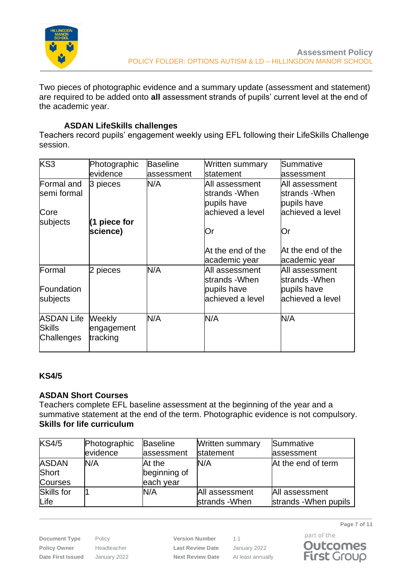

Two pieces of photographic evidence and a summary update (assessment and statement) are required to be added onto **all** assessment strands of pupils' current level at the end of the academic year.

## **ASDAN LifeSkills challenges**

Teachers record pupils' engagement weekly using EFL following their LifeSkills Challenge session.

| KS3                                              | Photographic<br>levidence        | <b>Baseline</b><br>lassessment | Written summary<br><b>Istatement</b>                                | Summative<br>lassessment                                           |
|--------------------------------------------------|----------------------------------|--------------------------------|---------------------------------------------------------------------|--------------------------------------------------------------------|
| Formal and<br>semi formal                        | 3 pieces                         | N/A                            | All assessment<br>lstrands -When<br>pupils have                     | All assessment<br>strands -When<br>pupils have                     |
| Core<br>subjects                                 | $(1$ piece for<br>science)       |                                | lachieved a level<br>Or                                             | achieved a level<br>Or                                             |
|                                                  |                                  |                                | At the end of the<br>academic year                                  | At the end of the<br>academic year                                 |
| Formal<br>Foundation<br>subjects                 | 2 pieces                         | N/A                            | All assessment<br>lstrands -When<br>pupils have<br>achieved a level | All assessment<br>strands -When<br>pupils have<br>achieved a level |
| <b>ASDAN Life</b><br><b>Skills</b><br>Challenges | Weekly<br>engagement<br>tracking | N/A                            | N/A                                                                 | N/A                                                                |

## **KS4/5**

## **ASDAN Short Courses**

Teachers complete EFL baseline assessment at the beginning of the year and a summative statement at the end of the term. Photographic evidence is not compulsory. **Skills for life curriculum**

| KS4/5          | Photographic | <b>Baseline</b> | <b>Written summary</b> | Summative             |
|----------------|--------------|-----------------|------------------------|-----------------------|
|                | evidence     | assessment      | statement              | assessment            |
| <b>ASDAN</b>   | N/A          | At the          | N/A                    | At the end of term    |
| Short          |              | beginning of    |                        |                       |
| <b>Courses</b> |              | each year       |                        |                       |
| Skills for     |              | N/A             | All assessment         | All assessment        |
| Life           |              |                 | strands - When         | strands - When pupils |

**Document Type** Policy **Version Number** 1.1 **Policy Owner** Headteacher **Last Review Date** January 2022 **Date First Issued** January 2022 **Next Review Date** At least annually

**Page 7 of 11**

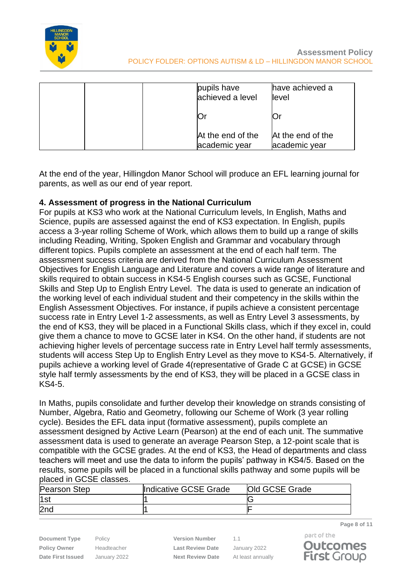

| pupils have<br>achieved a level    | have achieved a<br>level           |
|------------------------------------|------------------------------------|
| Ŭ١                                 |                                    |
| At the end of the<br>academic year | At the end of the<br>academic year |

At the end of the year, Hillingdon Manor School will produce an EFL learning journal for parents, as well as our end of year report.

## **4. Assessment of progress in the National Curriculum**

For pupils at KS3 who work at the National Curriculum levels, In English, Maths and Science, pupils are assessed against the end of KS3 expectation. In English, pupils access a 3-year rolling Scheme of Work, which allows them to build up a range of skills including Reading, Writing, Spoken English and Grammar and vocabulary through different topics. Pupils complete an assessment at the end of each half term. The assessment success criteria are derived from the National Curriculum Assessment Objectives for English Language and Literature and covers a wide range of literature and skills required to obtain success in KS4-5 English courses such as GCSE, Functional Skills and Step Up to English Entry Level. The data is used to generate an indication of the working level of each individual student and their competency in the skills within the English Assessment Objectives. For instance, if pupils achieve a consistent percentage success rate in Entry Level 1-2 assessments, as well as Entry Level 3 assessments, by the end of KS3, they will be placed in a Functional Skills class, which if they excel in, could give them a chance to move to GCSE later in KS4. On the other hand, if students are not achieving higher levels of percentage success rate in Entry Level half termly assessments, students will access Step Up to English Entry Level as they move to KS4-5. Alternatively, if pupils achieve a working level of Grade 4(representative of Grade C at GCSE) in GCSE style half termly assessments by the end of KS3, they will be placed in a GCSE class in  $K$ S4-5.

In Maths, pupils consolidate and further develop their knowledge on strands consisting of Number, Algebra, Ratio and Geometry, following our Scheme of Work (3 year rolling cycle). Besides the EFL data input (formative assessment), pupils complete an assessment designed by Active Learn (Pearson) at the end of each unit. The summative assessment data is used to generate an average Pearson Step, a 12-point scale that is compatible with the GCSE grades. At the end of KS3, the Head of departments and class teachers will meet and use the data to inform the pupils' pathway in KS4/5. Based on the results, some pupils will be placed in a functional skills pathway and some pupils will be placed in GCSE classes.

| Pearson Step    | Indicative GCSE Grade | <b>Old GCSE Grade</b> |
|-----------------|-----------------------|-----------------------|
| 1st             |                       |                       |
| 2 <sub>nd</sub> |                       |                       |

**Document Type** Policy **Version Number** 1.1 **Policy Owner** Headteacher **Last Review Date** January 2022 **Date First Issued** January 2022 **Next Review Date** At least annually



**Page 8 of 11**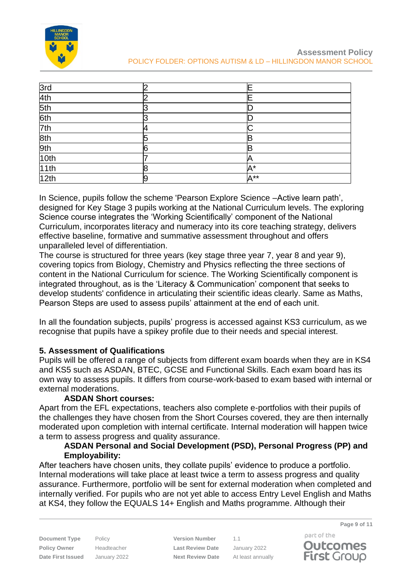

| 3rd  |   |                |
|------|---|----------------|
| 4th  |   |                |
| 5th  |   |                |
| 6th  |   |                |
| 7th  |   |                |
| 8th  |   |                |
| 9th  | հ |                |
| 10th |   |                |
| 11th |   | A*             |
| 12th | 9 | $A^{\ast\ast}$ |

In Science, pupils follow the scheme 'Pearson Explore Science –Active learn path', designed for Key Stage 3 pupils working at the National Curriculum levels. The exploring Science course integrates the 'Working Scientifically' component of the National Curriculum, incorporates literacy and numeracy into its core teaching strategy, delivers effective baseline, formative and summative assessment throughout and offers unparalleled level of differentiation.

The course is structured for three years (key stage three year 7, year 8 and year 9), covering topics from Biology, Chemistry and Physics reflecting the three sections of content in the National Curriculum for science. The Working Scientifically component is integrated throughout, as is the 'Literacy & Communication' component that seeks to develop students' confidence in articulating their scientific ideas clearly. Same as Maths, Pearson Steps are used to assess pupils' attainment at the end of each unit.

In all the foundation subjects, pupils' progress is accessed against KS3 curriculum, as we recognise that pupils have a spikey profile due to their needs and special interest.

## **5. Assessment of Qualifications**

Pupils will be offered a range of subjects from different exam boards when they are in KS4 and KS5 such as ASDAN, BTEC, GCSE and Functional Skills. Each exam board has its own way to assess pupils. It differs from course-work-based to exam based with internal or external moderations.

## **ASDAN Short courses:**

Apart from the EFL expectations, teachers also complete e-portfolios with their pupils of the challenges they have chosen from the Short Courses covered, they are then internally moderated upon completion with internal certificate. Internal moderation will happen twice a term to assess progress and quality assurance.

#### **ASDAN Personal and Social Development (PSD), Personal Progress (PP) and Employability:**

After teachers have chosen units, they collate pupils' evidence to produce a portfolio. Internal moderations will take place at least twice a term to assess progress and quality assurance. Furthermore, portfolio will be sent for external moderation when completed and internally verified. For pupils who are not yet able to access Entry Level English and Maths at KS4, they follow the EQUALS 14+ English and Maths programme. Although their

**Document Type** Policy **Version Number** 1.1 **Policy Owner** Headteacher **Last Review Date** January 2022 **Date First Issued** January 2022 **Next Review Date** At least annually

part of the **Outcomes First Group** 

**Page 9 of 11**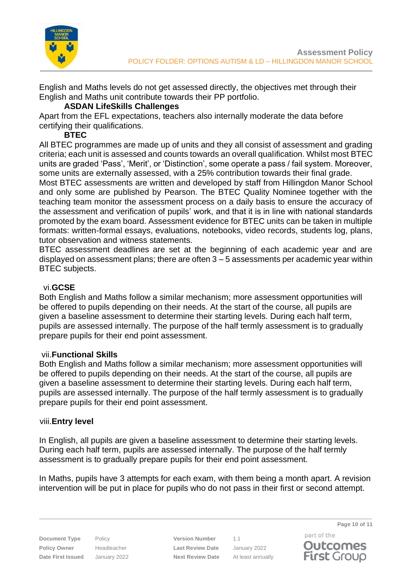

English and Maths levels do not get assessed directly, the objectives met through their English and Maths unit contribute towards their PP portfolio.

#### **ASDAN LifeSkills Challenges**

Apart from the EFL expectations, teachers also internally moderate the data before certifying their qualifications.

## **BTEC**

All BTEC programmes are made up of units and they all consist of assessment and grading criteria; each unit is assessed and counts towards an overall qualification. Whilst most BTEC units are graded 'Pass', 'Merit', or 'Distinction', some operate a pass / fail system. Moreover, some units are externally assessed, with a 25% contribution towards their final grade.

Most BTEC assessments are written and developed by staff from Hillingdon Manor School and only some are published by Pearson. The BTEC Quality Nominee together with the teaching team monitor the assessment process on a daily basis to ensure the accuracy of the assessment and verification of pupils' work, and that it is in line with national standards promoted by the exam board. Assessment evidence for BTEC units can be taken in multiple formats: written-formal essays, evaluations, notebooks, video records, students log, plans, tutor observation and witness statements.

BTEC assessment deadlines are set at the beginning of each academic year and are displayed on assessment plans; there are often 3 – 5 assessments per academic year within BTEC subjects.

## vi.**GCSE**

Both English and Maths follow a similar mechanism; more assessment opportunities will be offered to pupils depending on their needs. At the start of the course, all pupils are given a baseline assessment to determine their starting levels. During each half term, pupils are assessed internally. The purpose of the half termly assessment is to gradually prepare pupils for their end point assessment.

#### vii.**Functional Skills**

Both English and Maths follow a similar mechanism; more assessment opportunities will be offered to pupils depending on their needs. At the start of the course, all pupils are given a baseline assessment to determine their starting levels. During each half term, pupils are assessed internally. The purpose of the half termly assessment is to gradually prepare pupils for their end point assessment.

#### viii.**Entry level**

In English, all pupils are given a baseline assessment to determine their starting levels. During each half term, pupils are assessed internally. The purpose of the half termly assessment is to gradually prepare pupils for their end point assessment.

In Maths, pupils have 3 attempts for each exam, with them being a month apart. A revision intervention will be put in place for pupils who do not pass in their first or second attempt.

**Document Type** Policy **Version Number** 1.1 **Policy Owner** Headteacher **Last Review Date** January 2022 **Date First Issued** January 2022 **Next Review Date** At least annually

part of the **Outcomes First Group** 

**Page 10 of 11**